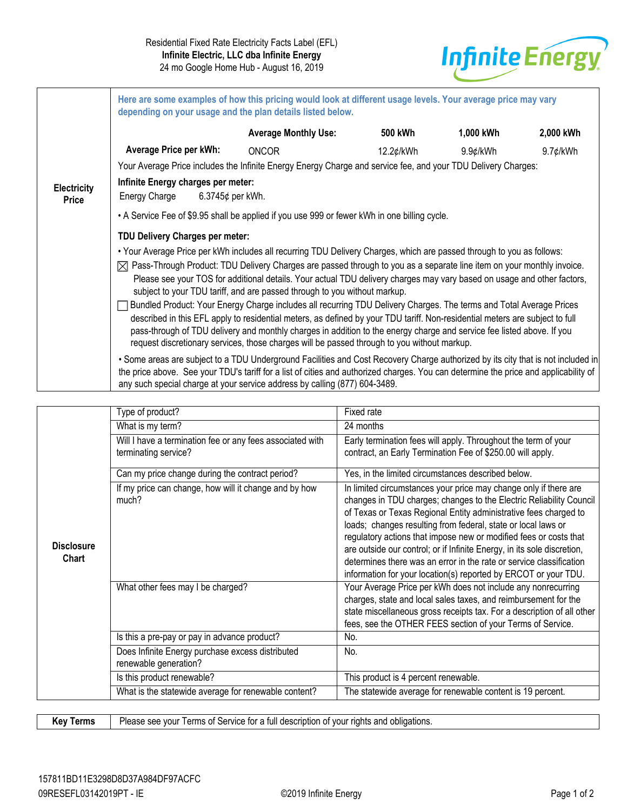

|                                    | Here are some examples of how this pricing would look at different usage levels. Your average price may vary<br>depending on your usage and the plan details listed below.                                                                                                                                                                                                                                                                                                   |                                                                                                                                                                                                                                                                                                                                                        |           |           |             |  |  |  |
|------------------------------------|------------------------------------------------------------------------------------------------------------------------------------------------------------------------------------------------------------------------------------------------------------------------------------------------------------------------------------------------------------------------------------------------------------------------------------------------------------------------------|--------------------------------------------------------------------------------------------------------------------------------------------------------------------------------------------------------------------------------------------------------------------------------------------------------------------------------------------------------|-----------|-----------|-------------|--|--|--|
|                                    |                                                                                                                                                                                                                                                                                                                                                                                                                                                                              | <b>Average Monthly Use:</b>                                                                                                                                                                                                                                                                                                                            | 500 kWh   | 1,000 kWh | 2,000 kWh   |  |  |  |
|                                    | Average Price per kWh:                                                                                                                                                                                                                                                                                                                                                                                                                                                       | <b>ONCOR</b>                                                                                                                                                                                                                                                                                                                                           | 12.2¢/kWh | 9.9¢/kWh  | $9.7$ ¢/kWh |  |  |  |
|                                    |                                                                                                                                                                                                                                                                                                                                                                                                                                                                              | Your Average Price includes the Infinite Energy Energy Charge and service fee, and your TDU Delivery Charges:                                                                                                                                                                                                                                          |           |           |             |  |  |  |
| <b>Electricity</b><br><b>Price</b> | Infinite Energy charges per meter:<br>6.3745¢ per kWh.<br>Energy Charge                                                                                                                                                                                                                                                                                                                                                                                                      |                                                                                                                                                                                                                                                                                                                                                        |           |           |             |  |  |  |
|                                    | • A Service Fee of \$9.95 shall be applied if you use 999 or fewer kWh in one billing cycle.                                                                                                                                                                                                                                                                                                                                                                                 |                                                                                                                                                                                                                                                                                                                                                        |           |           |             |  |  |  |
|                                    | TDU Delivery Charges per meter:                                                                                                                                                                                                                                                                                                                                                                                                                                              |                                                                                                                                                                                                                                                                                                                                                        |           |           |             |  |  |  |
|                                    | . Your Average Price per kWh includes all recurring TDU Delivery Charges, which are passed through to you as follows:                                                                                                                                                                                                                                                                                                                                                        |                                                                                                                                                                                                                                                                                                                                                        |           |           |             |  |  |  |
|                                    | $\boxtimes$ Pass-Through Product: TDU Delivery Charges are passed through to you as a separate line item on your monthly invoice.<br>Please see your TOS for additional details. Your actual TDU delivery charges may vary based on usage and other factors,<br>subject to your TDU tariff, and are passed through to you without markup.                                                                                                                                    |                                                                                                                                                                                                                                                                                                                                                        |           |           |             |  |  |  |
|                                    | Bundled Product: Your Energy Charge includes all recurring TDU Delivery Charges. The terms and Total Average Prices<br>described in this EFL apply to residential meters, as defined by your TDU tariff. Non-residential meters are subject to full<br>pass-through of TDU delivery and monthly charges in addition to the energy charge and service fee listed above. If you<br>request discretionary services, those charges will be passed through to you without markup. |                                                                                                                                                                                                                                                                                                                                                        |           |           |             |  |  |  |
|                                    |                                                                                                                                                                                                                                                                                                                                                                                                                                                                              | • Some areas are subject to a TDU Underground Facilities and Cost Recovery Charge authorized by its city that is not included in<br>the price above. See your TDU's tariff for a list of cities and authorized charges. You can determine the price and applicability of<br>any such special charge at your service address by calling (877) 604-3489. |           |           |             |  |  |  |

|                            | Type of product?                                                                  | Fixed rate                                                                                                                                                                                                                                                                                                                                                                                                                                                                                                                                                             |  |  |
|----------------------------|-----------------------------------------------------------------------------------|------------------------------------------------------------------------------------------------------------------------------------------------------------------------------------------------------------------------------------------------------------------------------------------------------------------------------------------------------------------------------------------------------------------------------------------------------------------------------------------------------------------------------------------------------------------------|--|--|
|                            | What is my term?                                                                  | 24 months                                                                                                                                                                                                                                                                                                                                                                                                                                                                                                                                                              |  |  |
|                            | Will I have a termination fee or any fees associated with<br>terminating service? | Early termination fees will apply. Throughout the term of your<br>contract, an Early Termination Fee of \$250.00 will apply.                                                                                                                                                                                                                                                                                                                                                                                                                                           |  |  |
|                            | Can my price change during the contract period?                                   | Yes, in the limited circumstances described below.                                                                                                                                                                                                                                                                                                                                                                                                                                                                                                                     |  |  |
| <b>Disclosure</b><br>Chart | If my price can change, how will it change and by how<br>much?                    | In limited circumstances your price may change only if there are<br>changes in TDU charges; changes to the Electric Reliability Council<br>of Texas or Texas Regional Entity administrative fees charged to<br>loads; changes resulting from federal, state or local laws or<br>regulatory actions that impose new or modified fees or costs that<br>are outside our control; or if Infinite Energy, in its sole discretion,<br>determines there was an error in the rate or service classification<br>information for your location(s) reported by ERCOT or your TDU. |  |  |
|                            | What other fees may I be charged?                                                 | Your Average Price per kWh does not include any nonrecurring<br>charges, state and local sales taxes, and reimbursement for the<br>state miscellaneous gross receipts tax. For a description of all other<br>fees, see the OTHER FEES section of your Terms of Service.                                                                                                                                                                                                                                                                                                |  |  |
|                            | Is this a pre-pay or pay in advance product?                                      | No.                                                                                                                                                                                                                                                                                                                                                                                                                                                                                                                                                                    |  |  |
|                            | Does Infinite Energy purchase excess distributed<br>renewable generation?         | No.                                                                                                                                                                                                                                                                                                                                                                                                                                                                                                                                                                    |  |  |
|                            | Is this product renewable?                                                        | This product is 4 percent renewable.                                                                                                                                                                                                                                                                                                                                                                                                                                                                                                                                   |  |  |
|                            | What is the statewide average for renewable content?                              | The statewide average for renewable content is 19 percent.                                                                                                                                                                                                                                                                                                                                                                                                                                                                                                             |  |  |

| <b>Key Terms</b>   Please see your Terms of Service for a full description of your rights and obligations. |  |
|------------------------------------------------------------------------------------------------------------|--|
|                                                                                                            |  |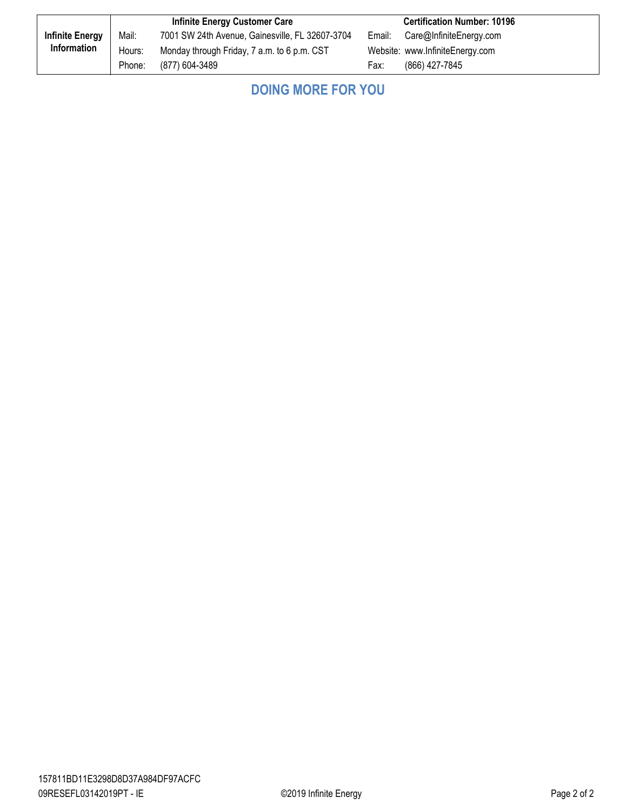|                        | <b>Infinite Energy Customer Care</b> |                                                 | <b>Certification Number: 10196</b> |                                 |
|------------------------|--------------------------------------|-------------------------------------------------|------------------------------------|---------------------------------|
| <b>Infinite Energy</b> | Mail:                                | 7001 SW 24th Avenue, Gainesville, FL 32607-3704 |                                    | Email: Care@InfiniteEnergy.com  |
| Information            | Hours:                               | Monday through Friday, 7 a.m. to 6 p.m. CST     |                                    | Website: www.InfiniteEnergy.com |
|                        | Phone:                               | (877) 604-3489                                  | Fax:                               | (866) 427-7845                  |

| <b>DOING MORE FOR YOU</b> |  |
|---------------------------|--|
|---------------------------|--|